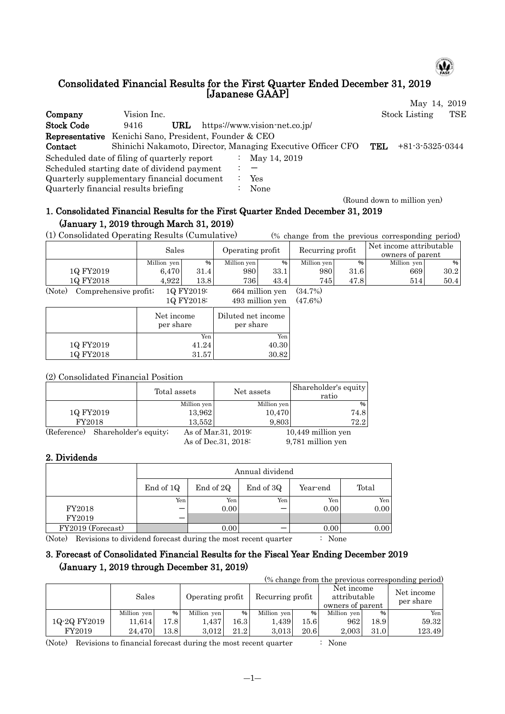

#### Consolidated Financial Results for the First Quarter Ended December 31, 2019 [Japanese GAAP] May 14, 2019

| Company                                                      | Vision Inc. |     |                      |                                                                 | <b>Stock Listing</b> | TSE |
|--------------------------------------------------------------|-------------|-----|----------------------|-----------------------------------------------------------------|----------------------|-----|
| <b>Stock Code</b>                                            | 9416        | URL |                      | https://www.vision-net.co.jp/                                   |                      |     |
| <b>Representative</b> Kenichi Sano, President, Founder & CEO |             |     |                      |                                                                 |                      |     |
| Contact                                                      |             |     |                      | Shinichi Nakamoto, Director, Managing Executive Officer CFO TEL | $+81-3-5325-0344$    |     |
| Scheduled date of filing of quarterly report                 |             |     | $\ddot{\phantom{a}}$ | May 14, 2019                                                    |                      |     |
| Scheduled starting date of dividend payment                  |             |     |                      |                                                                 |                      |     |
| Quarterly supplementary financial document                   |             |     |                      | Yes                                                             |                      |     |
| Quarterly financial results briefing                         |             |     |                      | None                                                            |                      |     |

(Round down to million yen)

# 1. Consolidated Financial Results for the First Quarter Ended December 31, 2019 (January 1, 2019 through March 31, 2019)

(1) Consolidated Operating Results (Cumulative) (% change from the previous corresponding period)

|                                         | Sales       |       | Operating profit |      | Recurring profit |      | Net income attributable<br>owners of parent |      |
|-----------------------------------------|-------------|-------|------------------|------|------------------|------|---------------------------------------------|------|
|                                         | Million yen | %     | Million yen      | %    | Million yen      | %    | Million yen                                 | %    |
| 1Q FY2019                               | 6.470       | 31.4  | 9801             | 33.1 | 980              | 31.6 | 669                                         | 30.2 |
| 10 FY2018                               | 4.922       | 13.81 | 736              | 43.4 | 745              | 47.8 | 514                                         | 50.4 |
| $\sqrt{2}$ $\sqrt{2}$<br><b>Service</b> | $\sim$<br>. |       | .                | .    |                  |      |                                             |      |

(Note) Comprehensive profit; 1Q FY2019: 664 million yen (34.7%) 1Q FY2018: 493 million yen (47.6%)

|           | Net income<br>per share | Diluted net income<br>per share |
|-----------|-------------------------|---------------------------------|
|           | Yen                     | Yen                             |
| 1Q FY2019 | 41.24                   | 40.30                           |
| 1Q FY2018 | 31.57                   | 30.82                           |

#### (2) Consolidated Financial Position

|             |                       |        | Total assets<br>Net assets |                      |                      | Shareholder's equity<br>ratio |  |
|-------------|-----------------------|--------|----------------------------|----------------------|----------------------|-------------------------------|--|
|             |                       |        | Million yen                |                      | Million yen          | %                             |  |
| 1Q FY2019   |                       | 13,962 |                            | 10,470               | 74.8                 |                               |  |
| FY2018      |                       |        | 13,552                     |                      | 9,803                | 72.2                          |  |
| (Reference) | Shareholder's equity; |        | As of Mar. 31, 2019:       |                      | $10,449$ million yen |                               |  |
|             |                       |        |                            | As of Dec. 31, 2018: |                      | 9,781 million yen             |  |

# 2. Dividends

|                   |                           | Annual dividend                    |     |      |      |  |  |  |  |  |  |  |
|-------------------|---------------------------|------------------------------------|-----|------|------|--|--|--|--|--|--|--|
|                   | End of 1Q                 | End of 2Q<br>End of 3Q<br>Year-end |     |      |      |  |  |  |  |  |  |  |
|                   | Yen                       | Yen                                | Yen | Yen  | Yen  |  |  |  |  |  |  |  |
| FY2018            |                           | 0.00                               |     | 0.00 | 0.00 |  |  |  |  |  |  |  |
| FY2019            |                           |                                    |     |      |      |  |  |  |  |  |  |  |
| FY2019 (Forecast) |                           | 0.00                               |     | 0.00 | 0.00 |  |  |  |  |  |  |  |
| (1)               | $\mathbf{1}$ $\mathbf{0}$ | $\cdots$<br>$\cdots$               |     | . nT |      |  |  |  |  |  |  |  |

(Note) Revisions to dividend forecast during the most recent quarter : None

# 3. Forecast of Consolidated Financial Results for the Fiscal Year Ending December 2019 (January 1, 2019 through December 31, 2019)

| (% change from the previous corresponding period) |                           |       |             |                  |             |                                                |             |                         |        |  |
|---------------------------------------------------|---------------------------|-------|-------------|------------------|-------------|------------------------------------------------|-------------|-------------------------|--------|--|
|                                                   | Sales<br>Operating profit |       |             | Recurring profit |             | Net income<br>attributable<br>owners of parent |             | Net income<br>per share |        |  |
|                                                   | Million yen               | %     | Million yen | %                | Million yen | %                                              | Million yen | $\frac{9}{6}$           | Yen    |  |
| 1Q-2Q FY2019                                      | 11.614                    | 17.81 | 1.437       | 16.3             | 1,439       | 15.61                                          | 962         | 18.9                    | 59.32  |  |
| FY2019                                            | 24.470                    | 13.8  | 3.012       | 21.2             | 3,013       | 20.6                                           | 2,003       | 31.0                    | 123.49 |  |

(Note) Revisions to financial forecast during the most recent quarter : None